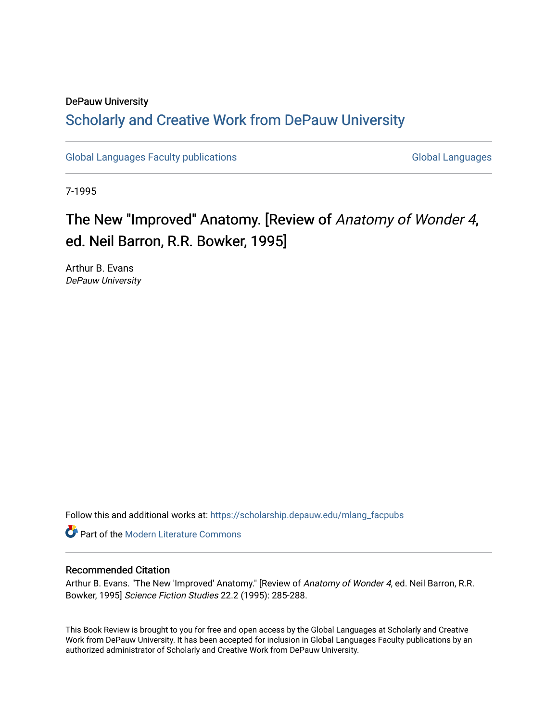## DePauw University Scholarly and [Creative Work from DePauw Univ](https://scholarship.depauw.edu/)ersity

[Global Languages Faculty publications](https://scholarship.depauw.edu/mlang_facpubs) [Global Languages](https://scholarship.depauw.edu/modernlanguages) Global Languages

7-1995

# The New "Improved" Anatomy. [Review of Anatomy of Wonder 4, ed. Neil Barron, R.R. Bowker, 1995]

Arthur B. Evans DePauw University

Follow this and additional works at: [https://scholarship.depauw.edu/mlang\\_facpubs](https://scholarship.depauw.edu/mlang_facpubs?utm_source=scholarship.depauw.edu%2Fmlang_facpubs%2F48&utm_medium=PDF&utm_campaign=PDFCoverPages)

**Part of the Modern Literature Commons** 

#### Recommended Citation

Arthur B. Evans. "The New 'Improved' Anatomy." [Review of Anatomy of Wonder 4, ed. Neil Barron, R.R. Bowker, 1995] Science Fiction Studies 22.2 (1995): 285-288.

This Book Review is brought to you for free and open access by the Global Languages at Scholarly and Creative Work from DePauw University. It has been accepted for inclusion in Global Languages Faculty publications by an authorized administrator of Scholarly and Creative Work from DePauw University.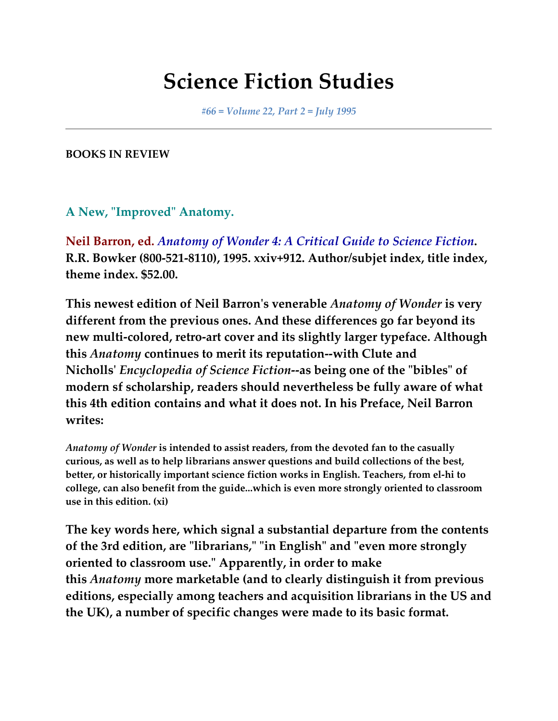# **Science Fiction Studies**

*#66 = Volume 22, Part 2 = July 1995*

**BOOKS IN REVIEW**

**A New, "Improved" Anatomy.**

**Neil Barron, ed.** *Anatomy of Wonder 4: A Critical Guide to Science Fiction***. R.R. Bowker (800-521-8110), 1995. xxiv+912. Author/subjet index, title index, theme index. \$52.00.**

**This newest edition of Neil Barron's venerable** *Anatomy of Wonder* **is very different from the previous ones. And these differences go far beyond its new multi-colored, retro-art cover and its slightly larger typeface. Although this** *Anatomy* **continues to merit its reputation--with Clute and Nicholls'** *Encyclopedia of Science Fiction***--as being one of the "bibles" of modern sf scholarship, readers should nevertheless be fully aware of what this 4th edition contains and what it does not. In his Preface, Neil Barron writes:**

*Anatomy of Wonder* **is intended to assist readers, from the devoted fan to the casually curious, as well as to help librarians answer questions and build collections of the best, better, or historically important science fiction works in English. Teachers, from el-hi to college, can also benefit from the guide...which is even more strongly oriented to classroom use in this edition. (xi)**

**The key words here, which signal a substantial departure from the contents of the 3rd edition, are "librarians," "in English" and "even more strongly oriented to classroom use." Apparently, in order to make this** *Anatomy* **more marketable (and to clearly distinguish it from previous editions, especially among teachers and acquisition librarians in the US and the UK), a number of specific changes were made to its basic format.**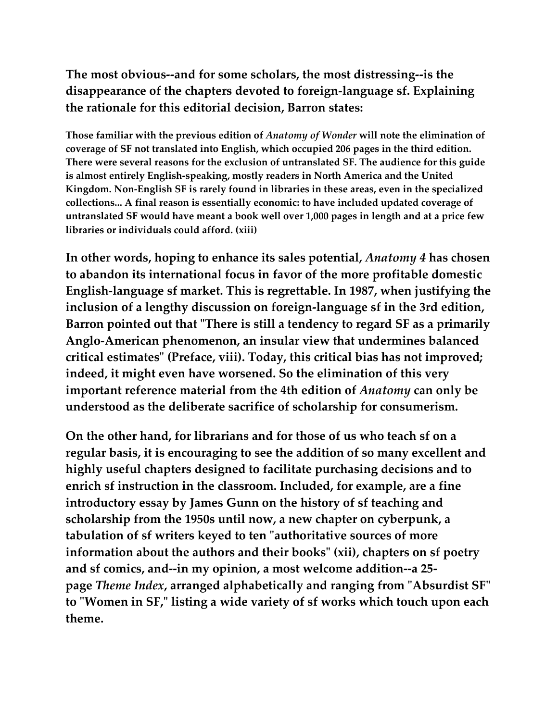**The most obvious--and for some scholars, the most distressing--is the disappearance of the chapters devoted to foreign-language sf. Explaining the rationale for this editorial decision, Barron states:**

**Those familiar with the previous edition of** *Anatomy of Wonder* **will note the elimination of coverage of SF not translated into English, which occupied 206 pages in the third edition. There were several reasons for the exclusion of untranslated SF. The audience for this guide is almost entirely English-speaking, mostly readers in North America and the United Kingdom. Non-English SF is rarely found in libraries in these areas, even in the specialized collections... A final reason is essentially economic: to have included updated coverage of untranslated SF would have meant a book well over 1,000 pages in length and at a price few libraries or individuals could afford. (xiii)**

**In other words, hoping to enhance its sales potential,** *Anatomy 4* **has chosen to abandon its international focus in favor of the more profitable domestic English-language sf market. This is regrettable. In 1987, when justifying the inclusion of a lengthy discussion on foreign-language sf in the 3rd edition, Barron pointed out that "There is still a tendency to regard SF as a primarily Anglo-American phenomenon, an insular view that undermines balanced critical estimates" (Preface, viii). Today, this critical bias has not improved; indeed, it might even have worsened. So the elimination of this very important reference material from the 4th edition of** *Anatomy* **can only be understood as the deliberate sacrifice of scholarship for consumerism.**

**On the other hand, for librarians and for those of us who teach sf on a regular basis, it is encouraging to see the addition of so many excellent and highly useful chapters designed to facilitate purchasing decisions and to enrich sf instruction in the classroom. Included, for example, are a fine introductory essay by James Gunn on the history of sf teaching and scholarship from the 1950s until now, a new chapter on cyberpunk, a tabulation of sf writers keyed to ten "authoritative sources of more information about the authors and their books" (xii), chapters on sf poetry and sf comics, and--in my opinion, a most welcome addition--a 25 page** *Theme Index***, arranged alphabetically and ranging from "Absurdist SF" to "Women in SF," listing a wide variety of sf works which touch upon each theme.**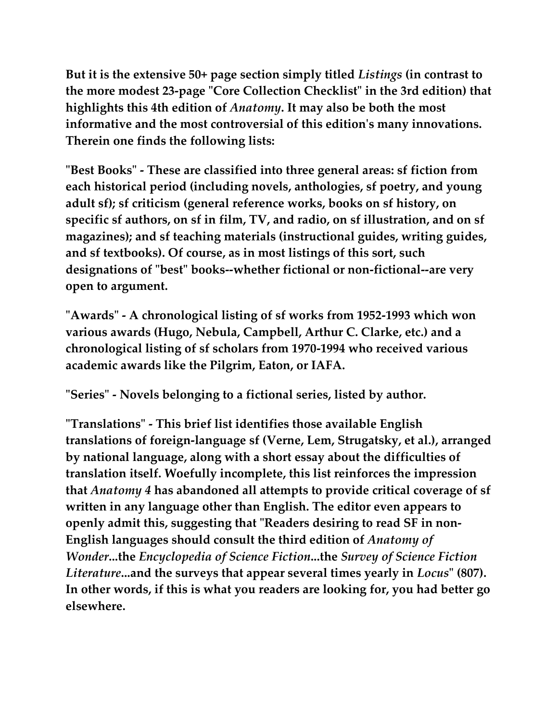**But it is the extensive 50+ page section simply titled** *Listings* **(in contrast to the more modest 23-page "Core Collection Checklist" in the 3rd edition) that highlights this 4th edition of** *Anatomy***. It may also be both the most informative and the most controversial of this edition's many innovations. Therein one finds the following lists:**

**"Best Books" - These are classified into three general areas: sf fiction from each historical period (including novels, anthologies, sf poetry, and young adult sf); sf criticism (general reference works, books on sf history, on specific sf authors, on sf in film, TV, and radio, on sf illustration, and on sf magazines); and sf teaching materials (instructional guides, writing guides, and sf textbooks). Of course, as in most listings of this sort, such designations of "best" books--whether fictional or non-fictional--are very open to argument.**

**"Awards" - A chronological listing of sf works from 1952-1993 which won various awards (Hugo, Nebula, Campbell, Arthur C. Clarke, etc.) and a chronological listing of sf scholars from 1970-1994 who received various academic awards like the Pilgrim, Eaton, or IAFA.**

**"Series" - Novels belonging to a fictional series, listed by author.**

**"Translations" - This brief list identifies those available English translations of foreign-language sf (Verne, Lem, Strugatsky, et al.), arranged by national language, along with a short essay about the difficulties of translation itself. Woefully incomplete, this list reinforces the impression that** *Anatomy 4* **has abandoned all attempts to provide critical coverage of sf written in any language other than English. The editor even appears to openly admit this, suggesting that "Readers desiring to read SF in non-English languages should consult the third edition of** *Anatomy of Wonder***...the** *Encyclopedia of Science Fiction***...the** *Survey of Science Fiction Literature***...and the surveys that appear several times yearly in** *Locus***" (807). In other words, if this is what you readers are looking for, you had better go elsewhere.**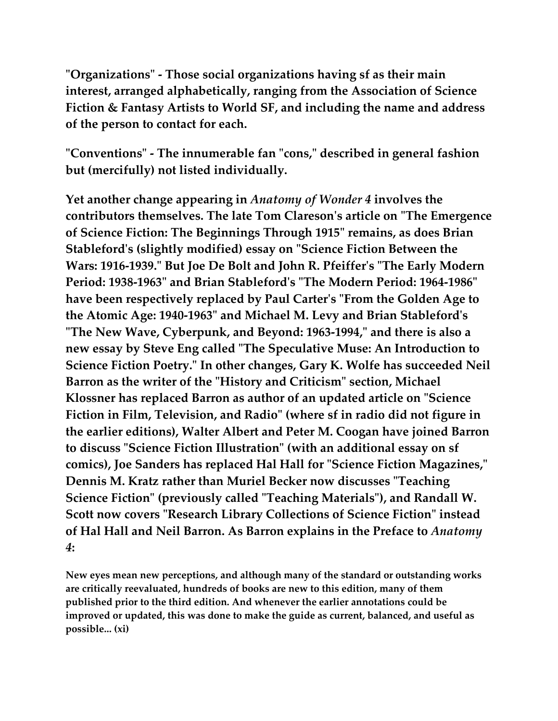**"Organizations" - Those social organizations having sf as their main interest, arranged alphabetically, ranging from the Association of Science Fiction & Fantasy Artists to World SF, and including the name and address of the person to contact for each.**

**"Conventions" - The innumerable fan "cons," described in general fashion but (mercifully) not listed individually.**

**Yet another change appearing in** *Anatomy of Wonder 4* **involves the contributors themselves. The late Tom Clareson's article on "The Emergence of Science Fiction: The Beginnings Through 1915" remains, as does Brian Stableford's (slightly modified) essay on "Science Fiction Between the Wars: 1916-1939." But Joe De Bolt and John R. Pfeiffer's "The Early Modern Period: 1938-1963" and Brian Stableford's "The Modern Period: 1964-1986" have been respectively replaced by Paul Carter's "From the Golden Age to the Atomic Age: 1940-1963" and Michael M. Levy and Brian Stableford's "The New Wave, Cyberpunk, and Beyond: 1963-1994," and there is also a new essay by Steve Eng called "The Speculative Muse: An Introduction to Science Fiction Poetry." In other changes, Gary K. Wolfe has succeeded Neil Barron as the writer of the "History and Criticism" section, Michael Klossner has replaced Barron as author of an updated article on "Science Fiction in Film, Television, and Radio" (where sf in radio did not figure in the earlier editions), Walter Albert and Peter M. Coogan have joined Barron to discuss "Science Fiction Illustration" (with an additional essay on sf comics), Joe Sanders has replaced Hal Hall for "Science Fiction Magazines," Dennis M. Kratz rather than Muriel Becker now discusses "Teaching Science Fiction" (previously called "Teaching Materials"), and Randall W. Scott now covers "Research Library Collections of Science Fiction" instead of Hal Hall and Neil Barron. As Barron explains in the Preface to** *Anatomy 4***:**

**New eyes mean new perceptions, and although many of the standard or outstanding works are critically reevaluated, hundreds of books are new to this edition, many of them published prior to the third edition. And whenever the earlier annotations could be improved or updated, this was done to make the guide as current, balanced, and useful as possible... (xi)**